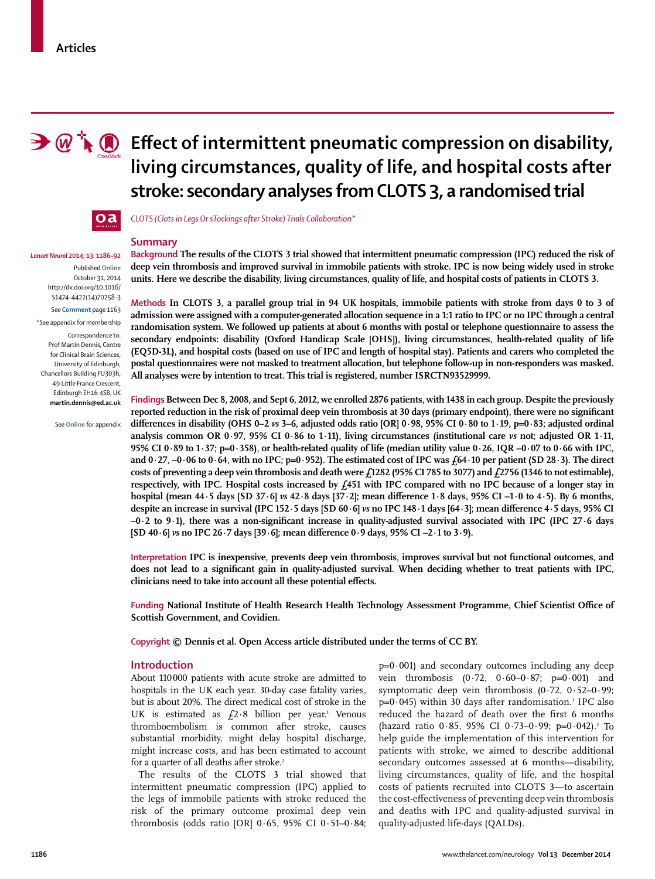

*Lancet Neurol* **2014; 13: 1186–92**

# $\mathbf{P} \mathbf{w}$ <sup>+</sup> $\mathbf{Q}$  Effect of intermittent pneumatic compression on disability, **living circumstances, quality of life, and hospital costs after stroke: secondary analyses from CLOTS 3, a randomised trial**



Published **Online** October 31, 2014 http://dx.doi.org/10.1016/ S1474-4422(14)70258-3 See **Comment** page 1163 \*See appendix for membership Correspondence to: Prof Martin Dennis, Centre for Clinical Brain Sciences, University of Edinburgh, Chancellors Building FU303h, 49 Little France Crescent, Edinburgh EH16 4SB, UK **martin.dennis@ed.ac.uk**

See **Online** for appendix

*CLOTS (Clots in Legs Or sTockings after Stroke) Trials Collaboration\**

## **Summary**

**Background The results of the CLOTS 3 trial showed that intermittent pneumatic compression (IPC) reduced the risk of deep vein thrombosis and improved survival in immobile patients with stroke. IPC is now being widely used in stroke units. Here we describe the disability, living circumstances, quality of life, and hospital costs of patients in CLOTS 3.**

**Methods In CLOTS 3, a parallel group trial in 94 UK hospitals, immobile patients with stroke from days 0 to 3 of admission were assigned with a computer-generated allocation sequence in a 1:1 ratio to IPC or no IPC through a central randomisation system. We followed up patients at about 6 months with postal or telephone questionnaire to assess the secondary endpoints: disability (Oxford Handicap Scale [OHS]), living circumstances, health-related quality of life (EQ5D-3L), and hospital costs (based on use of IPC and length of hospital stay). Patients and carers who completed the postal questionnaires were not masked to treatment allocation, but telephone follow-up in non-responders was masked. All analyses were by intention to treat. This trial is registered, number ISRCTN93529999.**

**Findings Between Dec 8, 2008, and Sept 6, 2012, we enrolled 2876 patients, with 1438 in each group. Despite the previously**  reported reduction in the risk of proximal deep vein thrombosis at 30 days (primary endpoint), there were no significant **differences in disability (OHS 0–2** *vs* **3–6, adjusted odds ratio [OR] 0·98, 95% CI 0·80 to 1·19, p=0·83; adjusted ordinal analysis common OR 0·97, 95% CI 0·86 to 1·11), living circumstances (institutional care** *vs* **not; adjusted OR 1·11, 95% CI 0·89 to 1·37; p=0·358), or health-related quality of life (median utility value 0·26, IQR –0·07 to 0·66 with IPC,** and  $0.27, -0.06$  to  $0.64$ , with no IPC;  $p=0.952$ ). The estimated cost of IPC was  $f<sub>0</sub>64.10$  per patient (SD 28.3). The direct **costs of preventing a deep vein thrombosis and death were £1282 (95% CI 785 to 3077) and £2756 (1346 to not estimable), respectively, with IPC. Hospital costs increased by £451 with IPC compared with no IPC because of a longer stay in hospital (mean 44·5 days [SD 37·6]** *vs* **42·8 days [37·2]; mean difference 1·8 days, 95% CI –1·0 to 4·5). By 6 months,** despite an increase in survival (IPC 152 $\cdot$ 5 days [SD 60 $\cdot$ 6] *vs* no IPC 148 $\cdot$ 1 days [64 $\cdot$ 3]; mean difference 4 $\cdot$ 5 days, 95% CI **–0·2 to 9·1), there was a non-signifi cant increase in quality-adjusted survival associated with IPC (IPC 27·6 days [SD 40·6]** *vs* **no IPC 26·7 days [39·6]; mean diff erence 0·9 days, 95% CI –2·1 to 3·9).**

**Interpretation IPC is inexpensive, prevents deep vein thrombosis, improves survival but not functional outcomes, and**  does not lead to a significant gain in quality-adjusted survival. When deciding whether to treat patients with IPC, clinicians need to take into account all these potential effects.

Funding National Institute of Health Research Health Technology Assessment Programme, Chief Scientist Office of **Scottish Government, and Covidien.**

**Copyright © Dennis et al. Open Access article distributed under the terms of CC BY.**

## **Introduction**

About 110 000 patients with acute stroke are admitted to hospitals in the UK each year. 30-day case fatality varies, but is about 20%. The direct medical cost of stroke in the UK is estimated as  $\text{\emph{L}}2.8$  billion per year.<sup>1</sup> Venous thromboembolism is common after stroke, causes substantial morbidity, might delay hospital discharge, might increase costs, and has been estimated to account for a quarter of all deaths after stroke.<sup>2</sup>

The results of the CLOTS 3 trial showed that intermittent pneumatic compression (IPC) applied to the legs of immobile patients with stroke reduced the risk of the primary outcome proximal deep vein thrombosis (odds ratio [OR] 0·65, 95% CI 0·51–0·84;  $p=0.001$ ) and secondary outcomes including any deep vein thrombosis  $(0.72, 0.60-0.87; p=0.001)$  and symptomatic deep vein thrombosis (0·72, 0·52–0·99;  $p=0.045$ ) within 30 days after randomisation.<sup>3</sup> IPC also reduced the hazard of death over the first 6 months (hazard ratio 0∙85, 95% CI 0∙73–0∙99; p=0·042).3 To help guide the implementation of this intervention for patients with stroke, we aimed to describe additional secondary outcomes assessed at 6 months—disability, living circumstances, quality of life, and the hospital costs of patients recruited into CLOTS 3—to ascertain the cost-effectiveness of preventing deep vein thrombosis and deaths with IPC and quality-adjusted survival in quality-adjusted life-days (QALDs).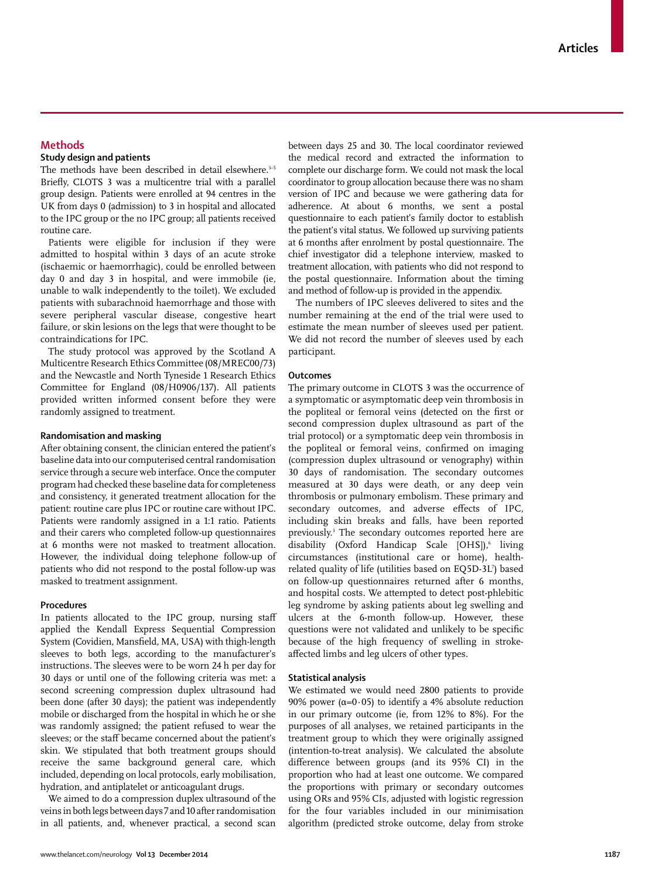## **Methods**

## **Study design and patients**

The methods have been described in detail elsewhere.<sup>3-5</sup> Briefly, CLOTS 3 was a multicentre trial with a parallel group design. Patients were enrolled at 94 centres in the UK from days 0 (admission) to 3 in hospital and allocated to the IPC group or the no IPC group; all patients received routine care.

Patients were eligible for inclusion if they were admitted to hospital within 3 days of an acute stroke (ischaemic or haemorrhagic), could be enrolled between day 0 and day 3 in hospital, and were immobile (ie, unable to walk independently to the toilet). We excluded patients with subarachnoid haemorrhage and those with severe peripheral vascular disease, congestive heart failure, or skin lesions on the legs that were thought to be contraindications for IPC.

The study protocol was approved by the Scotland A Multicentre Research Ethics Committee (08/MREC00/73) and the Newcastle and North Tyneside 1 Research Ethics Committee for England (08/H0906/137). All patients provided written informed consent before they were randomly assigned to treatment.

## **Randomisation and masking**

After obtaining consent, the clinician entered the patient's baseline data into our computerised central randomisation service through a secure web interface. Once the computer program had checked these baseline data for completeness and consistency, it generated treatment allocation for the patient: routine care plus IPC or routine care without IPC. Patients were randomly assigned in a 1:1 ratio. Patients and their carers who completed follow-up questionnaires at 6 months were not masked to treatment allocation. However, the individual doing telephone follow-up of patients who did not respond to the postal follow-up was masked to treatment assignment.

## **Procedures**

In patients allocated to the IPC group, nursing staff applied the Kendall Express Sequential Compression System (Covidien, Mansfield, MA, USA) with thigh-length sleeves to both legs, according to the manufacturer's instructions. The sleeves were to be worn 24 h per day for 30 days or until one of the following criteria was met: a second screening compression duplex ultrasound had been done (after 30 days); the patient was independently mobile or discharged from the hospital in which he or she was randomly assigned; the patient refused to wear the sleeves; or the staff became concerned about the patient's skin. We stipulated that both treatment groups should receive the same background general care, which included, depending on local protocols, early mobilisation, hydration, and antiplatelet or anticoagulant drugs.

We aimed to do a compression duplex ultrasound of the veins in both legs between days 7 and 10 after randomisation in all patients, and, whenever practical, a second scan between days 25 and 30. The local coordinator reviewed the medical record and extracted the information to complete our discharge form. We could not mask the local coordinator to group allocation because there was no sham version of IPC and because we were gathering data for adherence. At about 6 months, we sent a postal questionnaire to each patient's family doctor to establish the patient's vital status. We followed up surviving patients at 6 months after enrolment by postal questionnaire. The chief investigator did a telephone interview, masked to treatment allocation, with patients who did not respond to the postal questionnaire. Information about the timing and method of follow-up is provided in the appendix.

The numbers of IPC sleeves delivered to sites and the number remaining at the end of the trial were used to estimate the mean number of sleeves used per patient. We did not record the number of sleeves used by each participant.

## **Outcomes**

The primary outcome in CLOTS 3 was the occurrence of a symptomatic or asymptomatic deep vein thrombosis in the popliteal or femoral veins (detected on the first or second compression duplex ultrasound as part of the trial protocol) or a symptomatic deep vein thrombosis in the popliteal or femoral veins, confirmed on imaging (compression duplex ultrasound or venography) within 30 days of randomisation. The secondary outcomes measured at 30 days were death, or any deep vein thrombosis or pulmonary embolism. These primary and secondary outcomes, and adverse effects of IPC, including skin breaks and falls, have been reported previously.3 The secondary outcomes reported here are disability (Oxford Handicap Scale [OHS]),<sup>6</sup> living circumstances (institutional care or home), healthrelated quality of life (utilities based on EQ5D-3L7 ) based on follow-up questionnaires returned after 6 months, and hospital costs. We attempted to detect post-phlebitic leg syndrome by asking patients about leg swelling and ulcers at the 6-month follow-up. However, these questions were not validated and unlikely to be specific because of the high frequency of swelling in strokeaffected limbs and leg ulcers of other types.

## **Statistical analysis**

We estimated we would need 2800 patients to provide 90% power ( $α=0.05$ ) to identify a 4% absolute reduction in our primary outcome (ie, from 12% to 8%). For the purposes of all analyses, we retained participants in the treatment group to which they were originally assigned (intention-to-treat analysis). We calculated the absolute difference between groups (and its 95% CI) in the proportion who had at least one outcome. We compared the proportions with primary or secondary outcomes using ORs and 95% CIs, adjusted with logistic regression for the four variables included in our minimisation algorithm (predicted stroke outcome, delay from stroke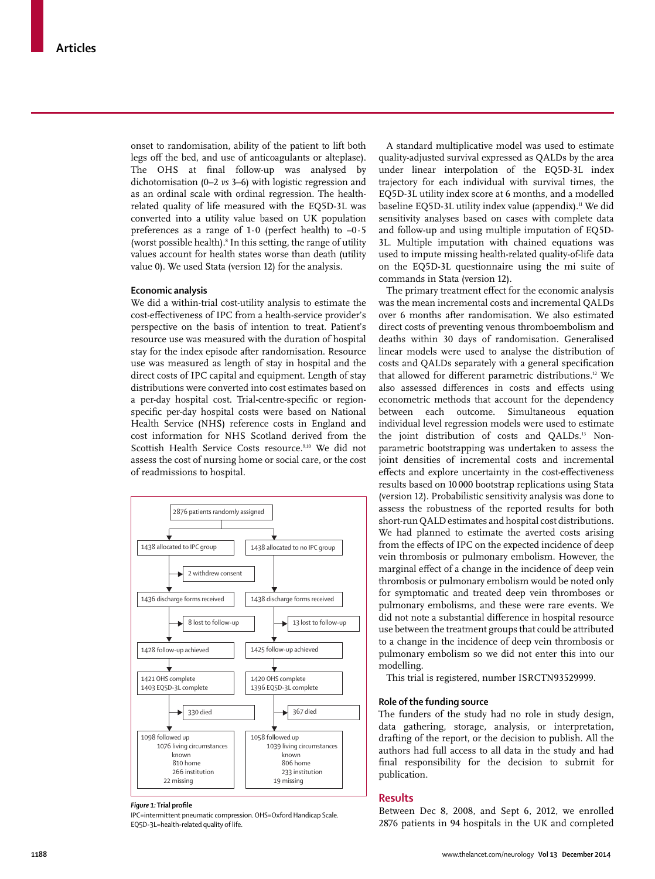onset to randomisation, ability of the patient to lift both legs off the bed, and use of anticoagulants or alteplase). The OHS at final follow-up was analysed by dichotomisation (0–2 *vs* 3–6) with logistic regression and as an ordinal scale with ordinal regression. The healthrelated quality of life measured with the EQ5D-3L was converted into a utility value based on UK population preferences as a range of  $1.0$  (perfect health) to  $-0.5$ (worst possible health).8 In this setting, the range of utility values account for health states worse than death (utility value 0). We used Stata (version 12) for the analysis.

## **Economic analysis**

We did a within-trial cost-utility analysis to estimate the cost-effectiveness of IPC from a health-service provider's perspective on the basis of intention to treat. Patient's resource use was measured with the duration of hospital stay for the index episode after randomisation. Resource use was measured as length of stay in hospital and the direct costs of IPC capital and equipment. Length of stay distributions were converted into cost estimates based on a per-day hospital cost. Trial-centre-specific or regionspecific per-day hospital costs were based on National Health Service (NHS) reference costs in England and cost information for NHS Scotland derived from the Scottish Health Service Costs resource.<sup>9,10</sup> We did not assess the cost of nursing home or social care, or the cost of readmissions to hospital.



#### **Figure 1:** Trial profile

IPC=intermittent pneumatic compression. OHS=Oxford Handicap Scale. EQ5D-3L=health-related quality of life.

A standard multiplicative model was used to estimate quality-adjusted survival expressed as QALDs by the area under linear interpolation of the EQ5D-3L index trajectory for each individual with survival times, the EQ5D-3L utility index score at 6 months, and a modelled baseline EQ5D-3L utility index value (appendix).<sup>11</sup> We did sensitivity analyses based on cases with complete data and follow-up and using multiple imputation of EQ5D-3L. Multiple imputation with chained equations was used to impute missing health-related quality-of-life data on the EQ5D-3L questionnaire using the mi suite of commands in Stata (version 12).

The primary treatment effect for the economic analysis was the mean incremental costs and incremental QALDs over 6 months after randomisation. We also estimated direct costs of preventing venous thrombo embolism and deaths within 30 days of randomisation. Generalised linear models were used to analyse the distribution of costs and QALDs separately with a general specification that allowed for different parametric distributions.<sup>12</sup> We also assessed differences in costs and effects using econometric methods that account for the dependency between each outcome. Simultaneous equation individual level regression models were used to estimate the joint distribution of costs and QALDs.13 Nonparametric bootstrapping was undertaken to assess the joint densities of incremental costs and incremental effects and explore uncertainty in the cost-effectiveness results based on 10 000 bootstrap replications using Stata (version 12). Probabilistic sensitivity analysis was done to assess the robustness of the reported results for both short-run QALD estimates and hospital cost distributions. We had planned to estimate the averted costs arising from the effects of IPC on the expected incidence of deep vein thrombosis or pulmonary embolism. However, the marginal effect of a change in the incidence of deep vein thrombosis or pulmonary embolism would be noted only for symptomatic and treated deep vein thromboses or pulmonary embolisms, and these were rare events. We did not note a substantial difference in hospital resource use between the treatment groups that could be attributed to a change in the incidence of deep vein thrombosis or pulmonary embolism so we did not enter this into our modelling.

This trial is registered, number ISRCTN93529999.

## **Role of the funding source**

The funders of the study had no role in study design, data gathering, storage, analysis, or interpretation, drafting of the report, or the decision to publish. All the authors had full access to all data in the study and had final responsibility for the decision to submit for publication.

## **Results**

Between Dec 8, 2008, and Sept 6, 2012, we enrolled 2876 patients in 94 hospitals in the UK and completed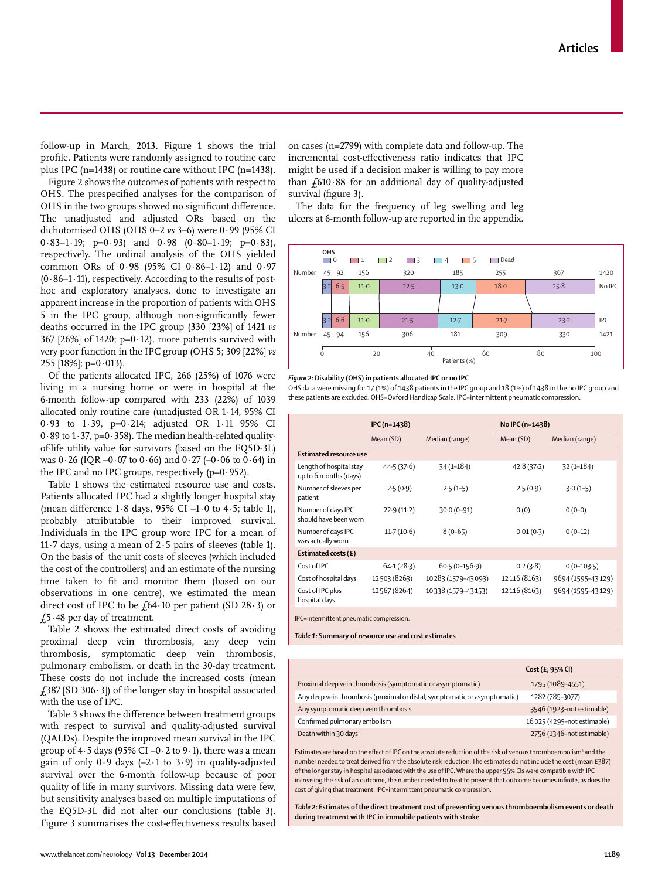follow-up in March, 2013. Figure 1 shows the trial profile. Patients were randomly assigned to routine care plus IPC (n=1438) or routine care without IPC (n=1438). Figure 2 shows the outcomes of patients with respect to

OHS. The prespecified analyses for the comparison of OHS in the two groups showed no significant difference. The unadjusted and adjusted ORs based on the dichotomised OHS (OHS 0–2 *vs* 3–6) were 0·99 (95% CI  $0.83-1.19$ ; p= $0.93$ ) and  $0.98$   $(0.80-1.19)$ ; p= $0.83$ ), respectively. The ordinal analysis of the OHS yielded common ORs of 0·98 (95% CI 0·86–1·12) and 0·97  $(0.86-1.11)$ , respectively. According to the results of posthoc and exploratory analyses, done to investigate an apparent increase in the proportion of patients with OHS 5 in the IPC group, although non-significantly fewer deaths occurred in the IPC group (330 [23%] of 1421 *vs* 367 [26%] of 1420;  $p=0.12$ ], more patients survived with very poor function in the IPC group (OHS 5; 309 [22%] *vs* 255  $[18\%]$ ; p=0 $\cdot$ 013).

Of the patients allocated IPC, 266 (25%) of 1076 were living in a nursing home or were in hospital at the 6-month follow-up compared with 233 (22%) of 1039 allocated only routine care (unadjusted OR 1·14, 95% CI 0·93 to 1·39, p=0·214; adjusted OR 1·11 95% CI  $0.89$  to  $1.37$ , p= $0.358$ ). The median health-related qualityof-life utility value for survivors (based on the EQ5D-3L) was  $0.26$  (IQR  $-0.07$  to  $0.66$ ) and  $0.27$  ( $-0.06$  to  $0.64$ ) in the IPC and no IPC groups, respectively  $(p=0.952)$ .

Table 1 shows the estimated resource use and costs. Patients allocated IPC had a slightly longer hospital stay (mean difference  $1.8$  days,  $95\%$  CI  $-1.0$  to  $4.5$ ; table 1), probably attributable to their improved survival. Individuals in the IPC group wore IPC for a mean of 11.7 days, using a mean of  $2.5$  pairs of sleeves (table 1). On the basis of the unit costs of sleeves (which included the cost of the controllers) and an estimate of the nursing time taken to fit and monitor them (based on our observations in one centre), we estimated the mean direct cost of IPC to be  $f64.10$  per patient (SD 28.3) or  $£5.48$  per day of treatment.

Table 2 shows the estimated direct costs of avoiding proximal deep vein thrombosis, any deep vein thrombosis, symptomatic deep vein thrombosis, pulmonary embolism, or death in the 30-day treatment. These costs do not include the increased costs (mean  $f$ 387 [SD 306 $\cdot$ 3]) of the longer stay in hospital associated with the use of IPC.

Table 3 shows the difference between treatment groups with respect to survival and quality-adjusted survival (QALDs). Despite the improved mean survival in the IPC group of  $4.5$  days (95% CI  $-0.2$  to  $9.1$ ), there was a mean gain of only  $0.9$  days  $(-2.1$  to  $3.9$ ) in quality-adjusted survival over the 6-month follow-up because of poor quality of life in many survivors. Missing data were few, but sensitivity analyses based on multiple imputations of the EQ5D-3L did not alter our conclusions (table 3). Figure 3 summarises the cost-effectiveness results based on cases (n=2799) with complete data and follow-up. The incremental cost-effectiveness ratio indicates that IPC might be used if a decision maker is willing to pay more than  $f610.88$  for an additional day of quality-adjusted survival (figure 3).

The data for the frequency of leg swelling and leg ulcers at 6-month follow-up are reported in the appendix.



#### *Figure 2:* **Disability (OHS) in patients allocated IPC or no IPC**

OHS data were missing for 17 (1%) of 1438 patients in the IPC group and 18 (1%) of 1438 in the no IPC group and these patients are excluded. OHS=Oxford Handicap Scale. IPC=intermittent pneumatic compression.

|                                                  | IPC (n=1438) |                    | No IPC (n=1438) |                   |  |  |  |
|--------------------------------------------------|--------------|--------------------|-----------------|-------------------|--|--|--|
|                                                  | Mean (SD)    | Median (range)     | Mean (SD)       | Median (range)    |  |  |  |
| <b>Estimated resource use</b>                    |              |                    |                 |                   |  |  |  |
| Length of hospital stay<br>up to 6 months (days) | 44.5(37.6)   | $34(1 - 184)$      | 42.8(37.2)      | $32(1 - 184)$     |  |  |  |
| Number of sleeves per<br>patient                 | 2.5(0.9)     | $2.5(1-5)$         | 2.5(0.9)        | $3.0(1-5)$        |  |  |  |
| Number of days IPC<br>should have been worn      | 22.9(11.2)   | 30.0 (0-91)        | 0(0)            | $0(0-0)$          |  |  |  |
| Number of days IPC<br>was actually worn          | 11.7(10.6)   | $8(0-65)$          | 0.01(0.3)       | $0(0-12)$         |  |  |  |
| Estimated costs $(E)$                            |              |                    |                 |                   |  |  |  |
| Cost of IPC                                      | 64.1(28.3)   | $60.5(0-156.9)$    | 0.2(3.8)        | $0(0-103.5)$      |  |  |  |
| Cost of hospital days                            | 12503 (8263) | 10283 (1579-43093) | 12116 (8163)    | 9694 (1595-43129) |  |  |  |
| Cost of IPC plus<br>hospital days                | 12567 (8264) | 10338 (1579-43153) | 12 116 (8163)   | 9694 (1595-43129) |  |  |  |
| IPC=intermittent pneumatic compression.          |              |                    |                 |                   |  |  |  |

 *Table 1:* **Summary of resource use and cost estimates**

|                                                                            | Cost $(E; 95\%$ CI)        |
|----------------------------------------------------------------------------|----------------------------|
| Proximal deep vein thrombosis (symptomatic or asymptomatic)                | 1795 (1089-4551)           |
| Any deep vein thrombosis (proximal or distal, symptomatic or asymptomatic) | 1282 (785-3077)            |
| Any symptomatic deep vein thrombosis                                       | 3546 (1923-not estimable)  |
| Confirmed pulmonary embolism                                               | 16025 (4295-not estimable) |
| Death within 30 days                                                       | 2756 (1346-not estimable)  |

Estimates are based on the effect of IPC on the absolute reduction of the risk of venous thromboembolism<sup>3</sup> and the number needed to treat derived from the absolute risk reduction. The estimates do not include the cost (mean £387) of the longer stay in hospital associated with the use of IPC. Where the upper 95% CIs were compatible with IPC increasing the risk of an outcome, the number needed to treat to prevent that outcome becomes infinite, as does the cost of giving that treatment. IPC=intermittent pneumatic compression.

 *Table 2:* **Estimates of the direct treatment cost of preventing venous thromboembolism events or death during treatment with IPC in immobile patients with stroke**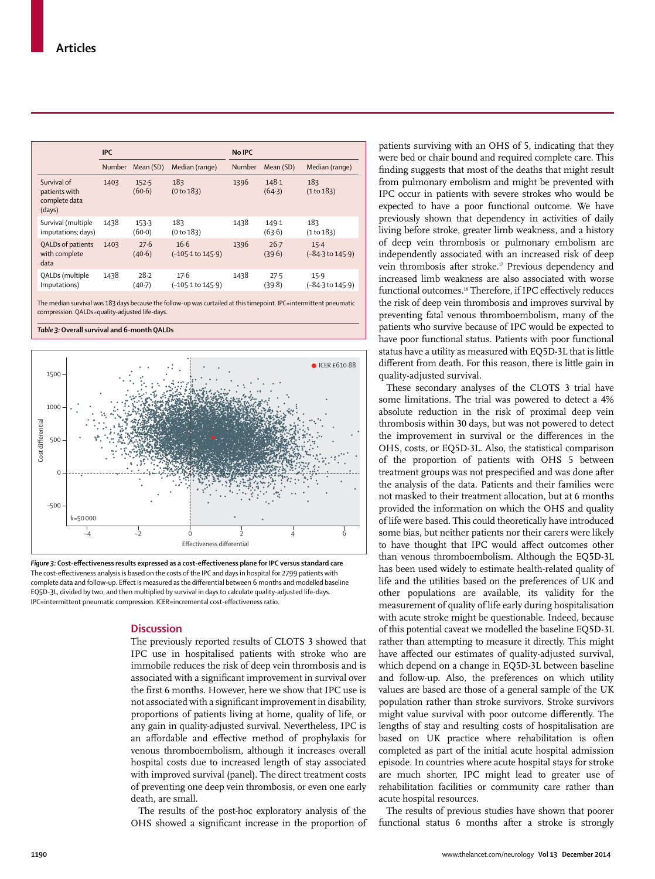|                                                         | <b>IPC</b>    |                  |                               | No IPC |                    |                                       |
|---------------------------------------------------------|---------------|------------------|-------------------------------|--------|--------------------|---------------------------------------|
|                                                         | <b>Number</b> | Mean (SD)        | Median (range)                | Number | Mean (SD)          | Median (range)                        |
| Survival of<br>patients with<br>complete data<br>(days) | 1403          | 152.5<br>(60.6)  | 183<br>(0 to 183)             | 1396   | 148.1<br>(64.3)    | 183<br>(1 to 183)                     |
| Survival (multiple<br>imputations; days)                | 1438          | 153.3<br>(60.0)  | 183<br>(0 to 183)             | 1438   | 149.1<br>(63.6)    | 183<br>(1 to 183)                     |
| QALDs of patients<br>with complete<br>data              | 1403          | 27.6<br>(40.6)   | 16.6<br>$(-105.1$ to $145.9)$ | 1396   | $26 - 7$<br>(39.6) | $15-4$<br>$(-84.3 \text{ to } 145.9)$ |
| QALDs (multiple<br>Imputations)                         | 1438          | 28.2<br>$(40-7)$ | 17.6<br>(-105·1 to 145·9)     | 1438   | 27.5<br>(39.8)     | 15.9<br>(-84.3 to 145.9)              |

The median survival was 183 days because the follow-up was curtailed at this timepoint. IPC=intermittent pneumatic compression. QALDs=quality-adjusted life-days.

*Table 3:* **Overall survival and 6-month QALDs**



*Figure 3:* **Cost-eff ectiveness results expressed as a cost-eff ectiveness plane for IPC versus standard care** The cost-effectiveness analysis is based on the costs of the IPC and days in hospital for 2799 patients with complete data and follow-up. Effect is measured as the differential between 6 months and modelled baseline EQ5D-3L, divided by two, and then multiplied by survival in days to calculate quality-adjusted life-days. IPC=intermittent pneumatic compression. ICER=incremental cost-eff ectiveness ratio.

## **Discussion**

The previously reported results of CLOTS 3 showed that IPC use in hospitalised patients with stroke who are immobile reduces the risk of deep vein thrombosis and is associated with a significant improvement in survival over the first 6 months. However, here we show that IPC use is not associated with a significant improvement in disability, proportions of patients living at home, quality of life, or any gain in quality-adjusted survival. Nevertheless, IPC is an affordable and effective method of prophylaxis for venous thromboembolism, although it increases overall hospital costs due to increased length of stay associated with improved survival (panel). The direct treatment costs of preventing one deep vein thrombosis, or even one early death, are small.

The results of the post-hoc exploratory analysis of the OHS showed a significant increase in the proportion of patients surviving with an OHS of 5, indicating that they were bed or chair bound and required complete care. This finding suggests that most of the deaths that might result from pulmonary embolism and might be prevented with IPC occur in patients with severe strokes who would be expected to have a poor functional outcome. We have previously shown that dependency in activities of daily living before stroke, greater limb weakness, and a history of deep vein thrombosis or pulmonary embolism are independently associated with an increased risk of deep vein thrombosis after stroke.<sup>17</sup> Previous dependency and increased limb weakness are also associated with worse functional outcomes.<sup>18</sup> Therefore, if IPC effectively reduces the risk of deep vein thrombosis and improves survival by preventing fatal venous thromboembolism, many of the patients who survive because of IPC would be expected to have poor functional status. Patients with poor functional status have a utility as measured with EQ5D-3L that is little different from death. For this reason, there is little gain in quality-adjusted survival.

These secondary analyses of the CLOTS 3 trial have some limitations. The trial was powered to detect a 4% absolute reduction in the risk of proximal deep vein thrombosis within 30 days, but was not powered to detect the improvement in survival or the differences in the OHS, costs, or EQ5D-3L. Also, the statistical comparison of the proportion of patients with OHS 5 between treatment groups was not prespecified and was done after the analysis of the data. Patients and their families were not masked to their treatment allocation, but at 6 months provided the information on which the OHS and quality of life were based. This could theoretically have introduced some bias, but neither patients nor their carers were likely to have thought that IPC would affect outcomes other than venous thromboembolism. Although the EQ5D-3L has been used widely to estimate health-related quality of life and the utilities based on the preferences of UK and other populations are available, its validity for the measurement of quality of life early during hospitalisation with acute stroke might be questionable. Indeed, because of this potential caveat we modelled the baseline EQ5D-3L rather than attempting to measure it directly. This might have affected our estimates of quality-adjusted survival, which depend on a change in EQ5D-3L between baseline and follow-up. Also, the preferences on which utility values are based are those of a general sample of the UK population rather than stroke survivors. Stroke survivors might value survival with poor outcome differently. The lengths of stay and resulting costs of hospitalisation are based on UK practice where rehabilitation is often completed as part of the initial acute hospital admission episode. In countries where acute hospital stays for stroke are much shorter, IPC might lead to greater use of rehabilitation facilities or community care rather than acute hospital resources.

The results of previous studies have shown that poorer functional status 6 months after a stroke is strongly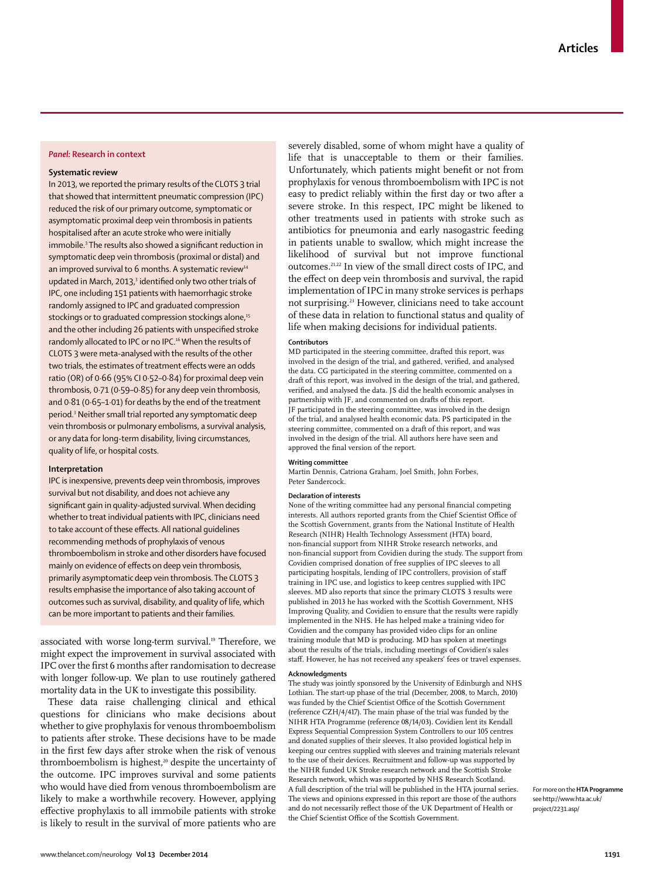### *Panel:* **Research in context**

## **Systematic review**

In 2013, we reported the primary results of the CLOTS 3 trial that showed that intermittent pneumatic compression (IPC) reduced the risk of our primary outcome, symptomatic or asymptomatic proximal deep vein thrombosis in patients hospitalised after an acute stroke who were initially immobile.<sup>3</sup> The results also showed a significant reduction in symptomatic deep vein thrombosis (proximal or distal) and an improved survival to 6 months. A systematic review<sup>14</sup> updated in March, 2013,<sup>3</sup> identified only two other trials of IPC, one including 151 patients with haemorrhagic stroke randomly assigned to IPC and graduated compression stockings or to graduated compression stockings alone,<sup>15</sup> and the other including 26 patients with unspecified stroke randomly allocated to IPC or no IPC.16 When the results of CLOTS 3 were meta-analysed with the results of the other two trials, the estimates of treatment effects were an odds ratio (OR) of 0·66 (95% CI 0·52–0·84) for proximal deep vein thrombosis, 0·71 (0·59–0·85) for any deep vein thrombosis, and 0·81 (0·65–1·01) for deaths by the end of the treatment period.3 Neither small trial reported any symptomatic deep vein thrombosis or pulmonary embolisms, a survival analysis, or any data for long-term disability, living circumstances, quality of life, or hospital costs.

## **Interpretation**

IPC is inexpensive, prevents deep vein thrombosis, improves survival but not disability, and does not achieve any significant gain in quality-adjusted survival. When deciding whether to treat individual patients with IPC, clinicians need to take account of these effects. All national quidelines recommending methods of prophylaxis of venous thromboembolism in stroke and other disorders have focused mainly on evidence of effects on deep vein thrombosis, primarily asymptomatic deep vein thrombosis. The CLOTS 3 results emphasise the importance of also taking account of outcomes such as survival, disability, and quality of life, which can be more important to patients and their families.

associated with worse long-term survival.<sup>19</sup> Therefore, we might expect the improvement in survival associated with IPC over the first 6 months after randomisation to decrease with longer follow-up. We plan to use routinely gathered mortality data in the UK to investigate this possibility.

These data raise challenging clinical and ethical questions for clinicians who make decisions about whether to give prophylaxis for venous thromboembolism to patients after stroke. These decisions have to be made in the first few days after stroke when the risk of venous thromboembolism is highest,<sup>20</sup> despite the uncertainty of the outcome. IPC improves survival and some patients who would have died from venous thromboembolism are likely to make a worthwhile recovery. However, applying effective prophylaxis to all immobile patients with stroke is likely to result in the survival of more patients who are

severely disabled, some of whom might have a quality of life that is unacceptable to them or their families. Unfortunately, which patients might benefit or not from prophylaxis for venous thromboembolism with IPC is not easy to predict reliably within the first day or two after a severe stroke. In this respect, IPC might be likened to other treatments used in patients with stroke such as antibiotics for pneumonia and early nasogastric feeding in patients unable to swallow, which might increase the likelihood of survival but not improve functional outcomes.21,22 In view of the small direct costs of IPC, and the effect on deep vein thrombosis and survival, the rapid implementation of IPC in many stroke services is perhaps not surprising.23 However, clinicians need to take account of these data in relation to functional status and quality of life when making decisions for individual patients.

## **Contributors**

MD participated in the steering committee, drafted this report, was involved in the design of the trial, and gathered, verified, and analysed the data. CG participated in the steering committee, commented on a draft of this report, was involved in the design of the trial, and gathered, verified, and analysed the data. JS did the health economic analyses in partnership with JF, and commented on drafts of this report. JF participated in the steering committee, was involved in the design of the trial, and analysed health economic data. PS participated in the steering committee, commented on a draft of this report, and was involved in the design of the trial. All authors here have seen and approved the final version of the report.

#### **Writing committee**

Martin Dennis, Catriona Graham, Joel Smith, John Forbes, Peter Sandercock.

#### **Declaration of interests**

None of the writing committee had any personal financial competing interests. All authors reported grants from the Chief Scientist Office of the Scottish Government, grants from the National Institute of Health Research (NIHR) Health Technology Assessment (HTA) board, non-financial support from NIHR Stroke research networks, and non-financial support from Covidien during the study. The support from Covidien comprised donation of free supplies of IPC sleeves to all participating hospitals, lending of IPC controllers, provision of staff training in IPC use, and logistics to keep centres supplied with IPC sleeves. MD also reports that since the primary CLOTS 3 results were published in 2013 he has worked with the Scottish Government, NHS Improving Quality, and Covidien to ensure that the results were rapidly implemented in the NHS. He has helped make a training video for Covidien and the company has provided video clips for an online training module that MD is producing. MD has spoken at meetings about the results of the trials, including meetings of Covidien's sales staff. However, he has not received any speakers' fees or travel expenses.

#### **Acknowledgments**

The study was jointly sponsored by the University of Edinburgh and NHS Lothian. The start-up phase of the trial (December, 2008, to March, 2010) was funded by the Chief Scientist Office of the Scottish Government (reference CZH/4/417). The main phase of the trial was funded by the NIHR HTA Programme (reference 08/14/03). Covidien lent its Kendall Express Sequential Compression System Controllers to our 105 centres and donated supplies of their sleeves. It also provided logistical help in keeping our centres supplied with sleeves and training materials relevant to the use of their devices. Recruitment and follow-up was supported by the NIHR funded UK Stroke research network and the Scottish Stroke Research network, which was supported by NHS Research Scotland. A full description of the trial will be published in the HTA journal series. The views and opinions expressed in this report are those of the authors and do not necessarily reflect those of the UK Department of Health or the Chief Scientist Office of the Scottish Government.

For more on the **HTA Programme** see http://www.hta.ac.uk/ project/2231.asp/